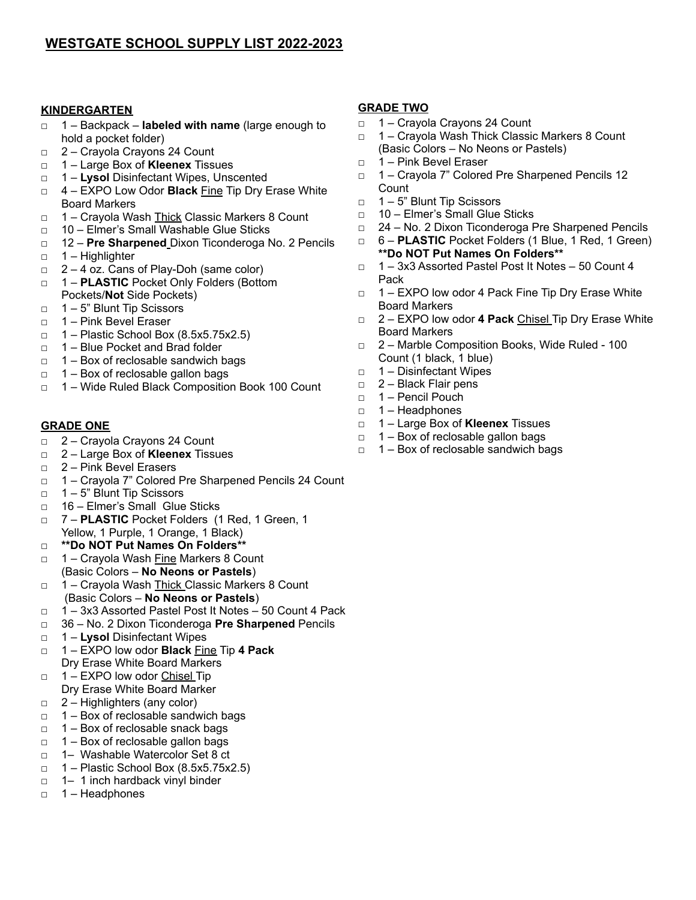## **KINDERGARTEN**

- □ 1 Backpack **labeled with name** (large enough to hold a pocket folder)
- □ 2 Crayola Crayons 24 Count
- □ 1 Large Box of **Kleenex** Tissues
- □ 1 **Lysol** Disinfectant Wipes, Unscented
- □ 4 EXPO Low Odor **Black** Fine Tip Dry Erase White Board Markers
- □ 1 Crayola Wash Thick Classic Markers 8 Count
- □ 10 Elmer's Small Washable Glue Sticks
- □ 12 **Pre Sharpened** Dixon Ticonderoga No. 2 Pencils
- □ 1 Highlighter
- $\Box$  2 4 oz. Cans of Play-Doh (same color)
- □ 1 **PLASTIC** Pocket Only Folders (Bottom Pockets/**Not** Side Pockets)
- □ 1 5" Blunt Tip Scissors
- $\Box$  1 Pink Bevel Eraser
- $\Box$  1 Plastic School Box (8.5x5.75x2.5)
- □ 1 Blue Pocket and Brad folder
- $\Box$  1 Box of reclosable sandwich bags
- □ 1 Box of reclosable gallon bags
- □ 1 Wide Ruled Black Composition Book 100 Count

### **GRADE ONE**

- □ 2 Crayola Crayons 24 Count
- □ 2 Large Box of **Kleenex** Tissues
- □ 2 Pink Bevel Erasers
- □ 1 Crayola 7" Colored Pre Sharpened Pencils 24 Count
- □ 1 5" Blunt Tip Scissors
- □ 16 Elmer's Small Glue Sticks
- □ 7 **PLASTIC** Pocket Folders (1 Red, 1 Green, 1 Yellow, 1 Purple, 1 Orange, 1 Black)
- □ **\*\*Do NOT Put Names On Folders\*\***
- □ 1 Cravola Wash Fine Markers 8 Count (Basic Colors – **No Neons or Pastels**)
- □ 1 Cravola Wash Thick Classic Markers 8 Count (Basic Colors – **No Neons or Pastels**)
- □ 1 3x3 Assorted Pastel Post It Notes 50 Count 4 Pack
- □ 36 No. 2 Dixon Ticonderoga **Pre Sharpened** Pencils
- □ 1 **Lysol** Disinfectant Wipes
- □ 1 EXPO low odor **Black** Fine Tip **4 Pack** Dry Erase White Board Markers
- □ 1 EXPO low odor Chisel Tip Dry Erase White Board Marker
- $\Box$  2 Highlighters (any color)
- $\Box$  1 Box of reclosable sandwich bags
- □ 1 Box of reclosable snack bags
- $\Box$  1 Box of reclosable gallon bags
- □ 1– Washable Watercolor Set 8 ct
- $\Box$  1 Plastic School Box (8.5x5.75x2.5)
- □ 1– 1 inch hardback vinyl binder
- □ 1 Headphones

## **GRADE TWO**

- □ 1 Crayola Crayons 24 Count
- □ 1 Crayola Wash Thick Classic Markers 8 Count (Basic Colors – No Neons or Pastels)
- □ 1 Pink Bevel Eraser
- □ 1 Crayola 7" Colored Pre Sharpened Pencils 12 **Count**
- □ 1 5" Blunt Tip Scissors
- □ 10 Elmer's Small Glue Sticks
- □ 24 No. 2 Dixon Ticonderoga Pre Sharpened Pencils
- □ 6 **PLASTIC** Pocket Folders (1 Blue, 1 Red, 1 Green) **\*\*Do NOT Put Names On Folders\*\***
- **□** 1 3x3 Assorted Pastel Post It Notes 50 Count 4 Pack
- □ 1 EXPO low odor 4 Pack Fine Tip Dry Erase White Board Markers
- □ 2 EXPO low odor **4 Pack** Chisel Tip Dry Erase White Board Markers
- □ 2 Marble Composition Books, Wide Ruled 100 Count (1 black, 1 blue)
- □ 1 Disinfectant Wipes
- $\Box$  2 Black Flair pens
- □ 1 Pencil Pouch
- □ 1 Headphones
- □ 1 Large Box of **Kleenex** Tissues
- $\Box$  1 Box of reclosable gallon bags
- □ 1 Box of reclosable sandwich bags